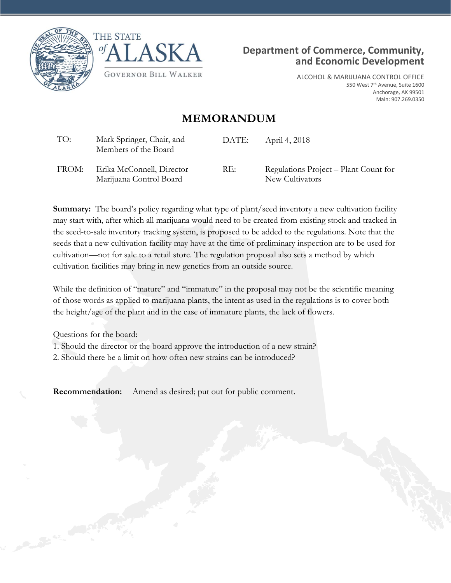





ALCOHOL & MARIJUANA CONTROL OFFICE 550 West 7<sup>th</sup> Avenue, Suite 1600 Anchorage, AK 99501 Main: 907.269.0350

### **MEMORANDUM**

| TO:   | Mark Springer, Chair, and<br>Members of the Board    | DATE: | April 4, 2018                                            |
|-------|------------------------------------------------------|-------|----------------------------------------------------------|
| FROM: | Erika McConnell, Director<br>Marijuana Control Board | RE:   | Regulations Project – Plant Count for<br>New Cultivators |

**Summary:** The board's policy regarding what type of plant/seed inventory a new cultivation facility may start with, after which all marijuana would need to be created from existing stock and tracked in the seed-to-sale inventory tracking system, is proposed to be added to the regulations. Note that the seeds that a new cultivation facility may have at the time of preliminary inspection are to be used for cultivation—not for sale to a retail store. The regulation proposal also sets a method by which cultivation facilities may bring in new genetics from an outside source.

While the definition of "mature" and "immature" in the proposal may not be the scientific meaning of those words as applied to marijuana plants, the intent as used in the regulations is to cover both the height/age of the plant and in the case of immature plants, the lack of flowers.

Questions for the board: 1. Should the director or the board approve the introduction of a new strain? 2. Should there be a limit on how often new strains can be introduced?

**Recommendation:** Amend as desired; put out for public comment.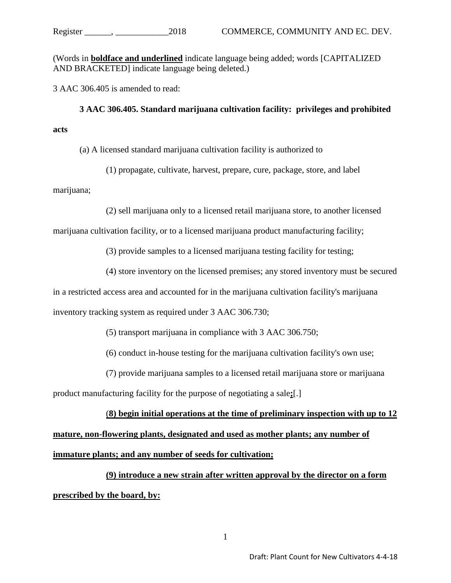(Words in **boldface and underlined** indicate language being added; words [CAPITALIZED AND BRACKETED] indicate language being deleted.)

3 AAC 306.405 is amended to read:

**3 AAC 306.405. Standard marijuana cultivation facility: privileges and prohibited acts**

(a) A licensed standard marijuana cultivation facility is authorized to

(1) propagate, cultivate, harvest, prepare, cure, package, store, and label

marijuana;

(2) sell marijuana only to a licensed retail marijuana store, to another licensed

marijuana cultivation facility, or to a licensed marijuana product manufacturing facility;

(3) provide samples to a licensed marijuana testing facility for testing;

(4) store inventory on the licensed premises; any stored inventory must be secured

in a restricted access area and accounted for in the marijuana cultivation facility's marijuana

inventory tracking system as required under 3 AAC 306.730;

(5) transport marijuana in compliance with 3 AAC 306.750;

(6) conduct in-house testing for the marijuana cultivation facility's own use;

(7) provide marijuana samples to a licensed retail marijuana store or marijuana

product manufacturing facility for the purpose of negotiating a sale**;**[.]

#### (**8) begin initial operations at the time of preliminary inspection with up to 12**

**mature, non-flowering plants, designated and used as mother plants; any number of immature plants; and any number of seeds for cultivation;**

**(9) introduce a new strain after written approval by the director on a form prescribed by the board, by:**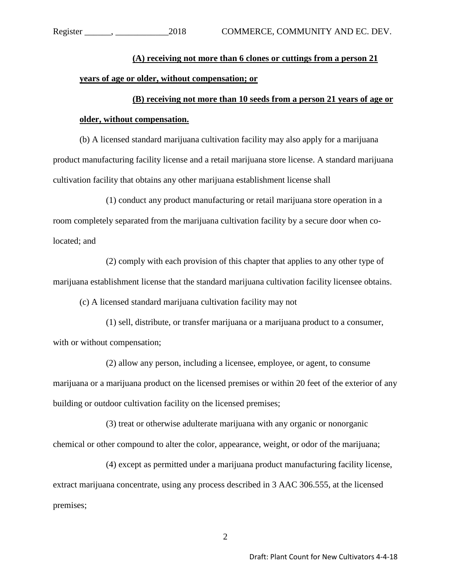## **(A) receiving not more than 6 clones or cuttings from a person 21 years of age or older, without compensation; or**

# **(B) receiving not more than 10 seeds from a person 21 years of age or older, without compensation.**

(b) A licensed standard marijuana cultivation facility may also apply for a marijuana product manufacturing facility license and a retail marijuana store license. A standard marijuana cultivation facility that obtains any other marijuana establishment license shall

(1) conduct any product manufacturing or retail marijuana store operation in a room completely separated from the marijuana cultivation facility by a secure door when colocated; and

(2) comply with each provision of this chapter that applies to any other type of marijuana establishment license that the standard marijuana cultivation facility licensee obtains.

(c) A licensed standard marijuana cultivation facility may not

(1) sell, distribute, or transfer marijuana or a marijuana product to a consumer, with or without compensation;

(2) allow any person, including a licensee, employee, or agent, to consume marijuana or a marijuana product on the licensed premises or within 20 feet of the exterior of any building or outdoor cultivation facility on the licensed premises;

(3) treat or otherwise adulterate marijuana with any organic or nonorganic chemical or other compound to alter the color, appearance, weight, or odor of the marijuana;

(4) except as permitted under a marijuana product manufacturing facility license, extract marijuana concentrate, using any process described in 3 AAC 306.555, at the licensed premises;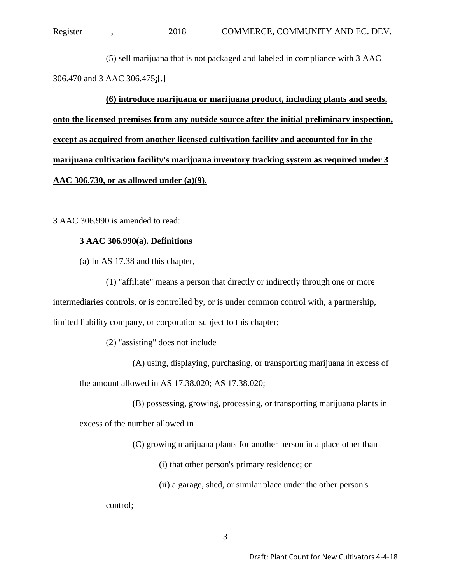(5) sell marijuana that is not packaged and labeled in compliance with 3 AAC 306.470 and 3 AAC 306.475;[.]

**(6) introduce marijuana or marijuana product, including plants and seeds, onto the licensed premises from any outside source after the initial preliminary inspection, except as acquired from another licensed cultivation facility and accounted for in the marijuana cultivation facility's marijuana inventory tracking system as required under 3 AAC 306.730, or as allowed under (a)(9).**

3 AAC 306.990 is amended to read:

### **3 AAC 306.990(a). Definitions**

(a) In AS 17.38 and this chapter,

(1) "affiliate" means a person that directly or indirectly through one or more intermediaries controls, or is controlled by, or is under common control with, a partnership, limited liability company, or corporation subject to this chapter;

(2) "assisting" does not include

(A) using, displaying, purchasing, or transporting marijuana in excess of the amount allowed in AS 17.38.020; AS 17.38.020;

(B) possessing, growing, processing, or transporting marijuana plants in

excess of the number allowed in

(C) growing marijuana plants for another person in a place other than

(i) that other person's primary residence; or

(ii) a garage, shed, or similar place under the other person's

control;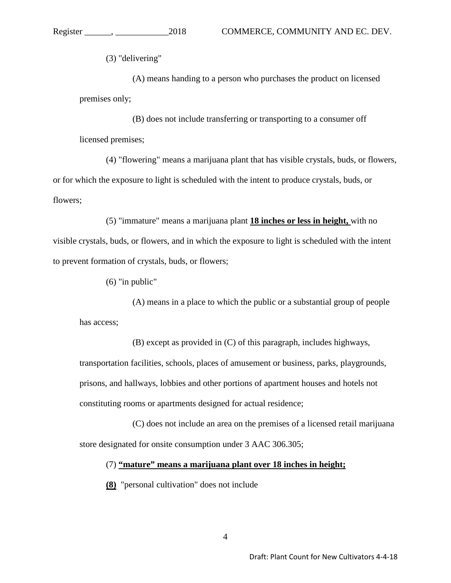(3) "delivering"

(A) means handing to a person who purchases the product on licensed premises only;

(B) does not include transferring or transporting to a consumer off licensed premises;

(4) "flowering" means a marijuana plant that has visible crystals, buds, or flowers, or for which the exposure to light is scheduled with the intent to produce crystals, buds, or flowers;

(5) "immature" means a marijuana plant **18 inches or less in height,** with no visible crystals, buds, or flowers, and in which the exposure to light is scheduled with the intent to prevent formation of crystals, buds, or flowers;

(6) "in public"

(A) means in a place to which the public or a substantial group of people has access;

(B) except as provided in (C) of this paragraph, includes highways, transportation facilities, schools, places of amusement or business, parks, playgrounds, prisons, and hallways, lobbies and other portions of apartment houses and hotels not constituting rooms or apartments designed for actual residence;

(C) does not include an area on the premises of a licensed retail marijuana store designated for onsite consumption under 3 AAC 306.305;

(7) **"mature" means a marijuana plant over 18 inches in height;**

**(8)** "personal cultivation" does not include